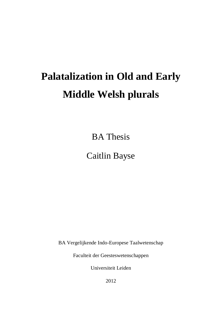# **Palatalization in Old and Early Middle Welsh plurals**

BA Thesis

# Caitlin Bayse

BA Vergelijkende Indo-Europese Taalwetenschap

Faculteit der Geesteswetenschappen

Universiteit Leiden

2012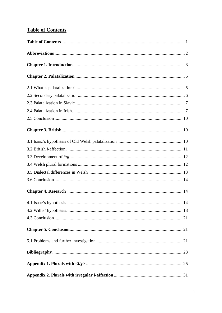## **Table of Contents**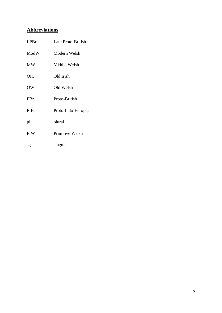### **Abbreviations**

| LPBr.     | Late Proto-British  |  |  |
|-----------|---------------------|--|--|
| ModW      | Modern Welsh        |  |  |
| <b>MW</b> | Middle Welsh        |  |  |
| OIr.      | Old Irish           |  |  |
| <b>OW</b> | Old Welsh           |  |  |
| PBr.      | Proto-British       |  |  |
| PIE       | Proto-Indo-European |  |  |
| pl.       | plural              |  |  |
| PrW       | Primitive Welsh     |  |  |
| sg.       | singular            |  |  |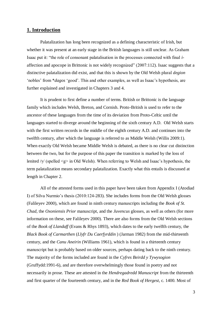#### **1. Introduction**

Palatalization has long been recognized as a defining characteristic of Irish, but whether it was present at an early stage in the British languages is still unclear. As Graham Isaac put it: "the role of consonant palatalisation in the processes connected with final *i*affection and apocope in Brittonic is not widely recognized" (2007:112). Isaac suggests that a distinctive palatalization did exist, and that this is shown by the Old Welsh plural *degion* 'nobles' from \**dagos* 'good'. This and other examples, as well as Isaac's hypothesis, are further explained and investigated in Chapters 3 and 4.

It is prudent to first define a number of terms. British or Brittonic is the language family which includes Welsh, Breton, and Cornish. Proto-British is used to refer to the ancestor of these languages from the time of its deviation from Proto-Celtic until the languages started to diverge around the beginning of the sixth century A.D. Old Welsh starts with the first written records in the middle of the eighth century A.D. and continues into the twelfth century, after which the language is referred to as Middle Welsh (Willis 2009:1). When exactly Old Welsh became Middle Welsh is debated, as there is no clear cut distinction between the two, but for the purpose of this paper the transition is marked by the loss of lenited /γ/ (spelled <g> in Old Welsh). When referring to Welsh and Isaac's hypothesis, the term palatalization means secondary palatalization. Exactly what this entails is discussed at length in Chapter 2.

All of the attested forms used in this paper have been taken from Appendix I (Atodiad I) of Silva Nurmio's thesis (2010:124-283). She includes forms from the Old Welsh glosses (Falileyev 2000), which are found in ninth century manuscripts including the *Book of St. Chad*, the *Oxoniensis Prior* manuscript, and the *Juvencus* glosses, as well as others (for more information on these, see Falileyev 2000). There are also forms from the Old Welsh sections of the *Book of Llandaff* (Evans & Rhys 1893), which dates to the early twelfth century, the *Black Book of Carmarthen* (*Llyfr Du Caerfyrddin* ) (Jarman 1982) from the mid-thirteenth century, and the *Canu Aneirin* (Williams 1961), which is found in a thirteenth century manuscript but is probably based on older sources, perhaps dating back to the ninth century. The majority of the forms included are found in the *Cyfres Beirdd y Tywysogion* (Gruffydd:1991-6), and are therefore overwhelmingly those found in poetry and not necessarily in prose. These are attested in the *Hendregadredd Manuscript* from the thirteenth and first quarter of the fourteenth century, and in the *Red Book of Hergest*, c. 1400. Most of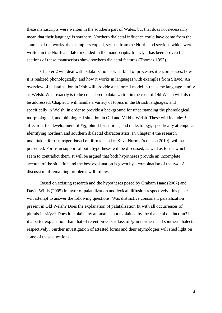these manuscripts were written in the southern part of Wales, but that does not necessarily mean that their language is southern. Northern dialectal influence could have come from the sources of the works, the exemplars copied, scribes from the North, and sections which were written in the North and later included in the manuscripts. In fact, it has been proven that sections of these manuscripts show northern dialectal features (Thomas 1993).

Chapter 2 will deal with palatalization – what kind of processes it encompasses, how it is realized phonologically, and how it works in languages with examples from Slavic. An overview of palatalization in Irish will provide a historical model in the same language family as Welsh. What exactly is to be considered palatalization in the case of Old Welsh will also be addressed. Chapter 3 will handle a variety of topics in the British languages, and specifically in Welsh, in order to provide a background for understanding the phonological, morphological, and philological situation in Old and Middle Welsh. These will include: *i*affection, the development of  $*gi$ , plural formations, and dialectology, specifically attempts at identifying northern and southern dialectal characteristics. In Chapter 4 the research undertaken for this paper, based on forms listed in Silva Nurmio's thesis (2010), will be presented. Forms in support of both hypotheses will be discussed, as well as forms which seem to contradict them. It will be argued that both hypotheses provide an incomplete account of the situation and the best explanation is given by a combination of the two. A discussion of remaining problems will follow.

Based on existing research and the hypotheses posed by Graham Isaac (2007) and David Willis (2005) in favor of palatalization and lexical diffusion respectively, this paper will attempt to answer the following questions: Was distinctive consonant palatalization present in Old Welsh? Does the explanation of palatalization fit with all occurrences of plurals in  $\langle i/y \rangle$ ? Does it explain any anomalies not explained by the dialectal distinction? Is it a better explanation than that of retention versus loss of  $/\gamma$  in northern and southern dialects respectively? Further investigation of attested forms and their etymologies will shed light on some of these questions.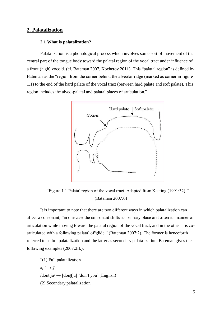#### **2. Palatalization**

#### **2.1 What is palatalization?**

Palatalization is a phonological process which involves some sort of movement of the central part of the tongue body toward the palatal region of the vocal tract under influence of a front (high) vocoid. (cf. Bateman 2007, Kochetov 2011). This "palatal region" is defined by Bateman as the "region from the corner behind the alveolar ridge (marked as corner in figure 1.1) to the end of the hard palate of the vocal tract (between hard palate and soft palate). This region includes the alveo-palatal and palatal places of articulation."



"Figure 1.1 Palatal region of the vocal tract. Adapted from Keating (1991:32)." (Bateman 2007:6)

It is important to note that there are two different ways in which palatalization can affect a consonant, "in one case the consonant shifts its primary place and often its manner of articulation while moving toward the palatal region of the vocal tract, and in the other it is coarticulated with a following palatal offglide." (Bateman 2007:2). The former is henceforth referred to as full palatalization and the latter as secondary palatalization. Bateman gives the following examples (2007:2ff.):

"(1) Full palatalization  $k, t \rightarrow t$  $\delta$  /dont ju $\rightarrow$  [dont[ju] 'don't you' (English) (2) Secondary palatalization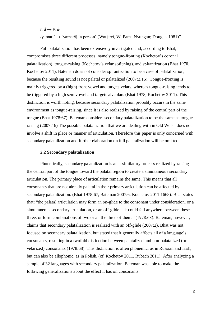$t, d \rightarrow t^j, d^j$ /yamati/ → [yamatʲi] 'a person' (Watjarri, W. Pama Nyungan; Douglas 1981)"

Full palatalization has been extensively investigated and, according to Bhat, compromises three different processes, namely tongue-fronting (Kochetov's coronal palatalization), tongue-raising (Kochetov's velar softening), and spirantization (Bhat 1978, Kochetov 2011). Bateman does not consider spirantization to be a case of palatalization, because the resulting sound is not palatal or palatalized (2007:2,15). Tongue-fronting is mainly triggered by a (high) front vowel and targets velars, whereas tongue-raising tends to be triggered by a high semivowel and targets alveolars (Bhat 1978, Kochetov 2011). This distinction is worth noting, because secondary palatalization probably occurs in the same environment as tongue-raising, since it is also realized by raising of the central part of the tongue (Bhat 1978:67). Bateman considers secondary palatalization to be the same as tongueraising (2007:16) The possible palatalization that we are dealing with in Old Welsh does not involve a shift in place or manner of articulation. Therefore this paper is only concerned with secondary palatalization and further elaboration on full palatalization will be omitted.

#### **2.2 Secondary palatalization**

Phonetically, secondary palatalization is an assimilatory process realized by raising the central part of the tongue toward the palatal region to create a simultaneous secondary articulation. The primary place of articulation remains the same. This means that all consonants that are not already palatal in their primary articulation can be affected by secondary palatalization. (Bhat 1978:67, Bateman 2007:6, Kochetov 2011:1668). Bhat states that: "the palatal articulation may form an on-glide to the consonant under consideration, or a simultaneous secondary articulation, or an off-glide -- it could fall anywhere between these three, or form combinations of two or all the three of them." (1978:68). Bateman, however, claims that secondary palatalization is realized with an off-glide (2007:2). Bhat was not focused on secondary palatalization, but stated that it generally affects all of a language's consonants, resulting in a twofold distinction between palatalized and non-palatalized (or velarized) consonants (1978:68). This distinction is often phonemic, as in Russian and Irish, but can also be allophonic, as in Polish. (cf. Kochetov 2011, Rubach 2011). After analyzing a sample of 32 languages with secondary palatalization, Bateman was able to make the following generalizations about the effect it has on consonants: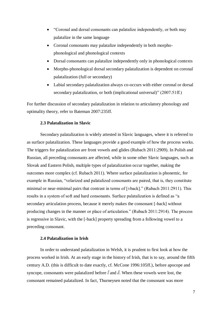- "Coronal and dorsal consonants can palatalize independently, or both may palatalize in the same language
- Coronal consonants may palatalize independently in both morphophonological and phonological contexts
- Dorsal consonants can palatalize independently only in phonological contexts
- Morpho-phonological dorsal secondary palatalization is dependent on coronal palatalization (full or secondary)
- Labial secondary palatalization always co-occurs with either coronal or dorsal secondary palatalization, or both (implicational universal)" (2007:51ff.)

For further discussion of secondary palatalization in relation to articulatory phonology and optimality theory, refer to Bateman 2007:235ff.

#### **2.3 Palatalization in Slavic**

Secondary palatalization is widely attested in Slavic languages, where it is referred to as surface palatalization. These languages provide a good example of how the process works. The triggers for palatalization are front vowels and glides (Rubach 2011:2909). In Polish and Russian, all preceding consonants are affected, while in some other Slavic languages, such as Slovak and Eastern Polish, multiple types of palatalization occur together, making the outcomes more complex (cf. Rubach 2011). Where surface palatalization is phonemic, for example in Russian, "velarized and palatalized consonants are paired, that is, they constitute minimal or near-minimal pairs that contrast in terms of [±back]." (Rubach 2011:2911). This results in a system of soft and hard consonants. Surface palatalization is defined as "a secondary articulation process, because it merely makes the consonant [-back] without producing changes in the manner or place of articulation." (Rubach 2011:2914). The process is regressive in Slavic, with the [-back] property spreading from a following vowel to a preceding consonant.

#### **2.4 Palatalization in Irish**

In order to understand palatalization in Welsh, it is prudent to first look at how the process worked in Irish. At an early stage in the history of Irish, that is to say, around the fifth century A.D. (this is difficult to date exactly, cf. McCone 1996:105ff.), before apocope and syncope, consonants were palatalized before  $\vec{i}$  and  $\vec{e}$ . When these vowels were lost, the consonant remained palatalized. In fact, Thurneysen noted that the consonant was more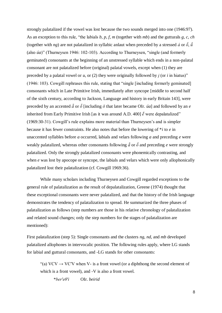strongly palatalized if the vowel was lost because the two sounds merged into one (1946:97). As an exception to this rule, "the labials *b*, *p*, *f*, *m* (together with *mb*) and the gutturals *g*, *c*, *ch* (together with *ng*) are not palatalized in syllabic anlaut when preceded by a stressed *a* or  $\vec{\delta}$ ,  $\vec{\bar{u}}$ (also *úa*)" (Thurneysen 1946: 102-103). According to Thurneysen, "single (and formerly geminated) consonants at the beginning of an unstressed syllable which ends in a non-palatal consonant are not palatalized before (original) palatal vowels, except when (1) they are preceded by a palatal vowel or  $u$ , or (2) they were originally followed by  $i$  (or  $i$  in hiatus)" (1946: 103). Cowgill rephrases this rule, stating that "single [including formerly geminated] consonants which in Late Primitive Irish, immediately after syncope [middle to second half of the sixth century, according to Jackson, Language and history in early Britain 143], were preceded by an accented  $\tilde{a}$  or  $\tilde{\sigma}$  [including  $\tilde{\sigma}$  that later became OIr. *úa*] and followed by an *e* inherited from Early Primitive Irish [as it was around A.D. 400]  $\check{e}$  were depalatalized" (1969:30-31). Cowgill's rule explains more material than Thurneysen's and is simpler because it has fewer constraints. He also notes that before the lowering of \**i* to *e* in unaccented syllables before *a* occurred, labials and velars following *a* and preceding *e* were weakly palatalized, whereas other consonants following  $\tilde{a}$  or  $\tilde{\sigma}$  and preceding *e* were strongly palatalized. Only the strongly palatalized consonants were phonemically contrasting, and when *e* was lost by apocope or syncope, the labials and velars which were only allophonically palatalized lost their palatalization (cf. Cowgill 1969:36).

While many scholars including Thurneysen and Cowgill regarded exceptions to the general rule of palatalization as the result of depalatalization, Greene (1974) thought that these exceptional consonants were never palatalized, and that the history of the Irish language demonstrates the tendency of palatalization to spread. He summarized the three phases of palatalization as follows (step numbers are those in his relative chronology of palatalization and related sound changes; only the step numbers for the stages of palatalization are mentioned):

First palatalization (step 5): Single consonants and the clusters *ng*, *nd*, and *mb* developed palatalized allophones in intervocalic position. The following rules apply, where LG stands for labial and guttural consonants, and -LG stands for other consonants:

"(a) VCV  $\rightarrow$  VC'V when V- is a front vowel (or a diphthong the second element of which is a front vowel), and -V is also a front vowel.

\**berʹeθʹ* OIr. *beirid*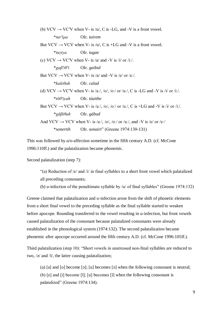- (b)  $VCV \rightarrow VCV$  when V- is /u/, C is -LG, and -V is a front vowel. \**turʹ μa* OIr. *tuirem*
- But  $VCV \rightarrow VCV$  when V- is /u/, C is +LG and -V is a front vowel. \**tuγ ya* OIr. *tugae*
- (c)  $VCV \rightarrow VC'V$  when V- is /a/ and -V is /i/ or /iː/. \* *aβʹ θʹ* OIr. *gaibid*

But VCV  $\rightarrow$  VCV when V- is /a/ and -V is /e/ or /eː/. \**kaleθah* OIr. *calad*

(d) VCV  $\rightarrow$  VC'V when V- is /a:/, /o/, /o:/ or /u:/, C is -LG and -V is /i/ or /i:/. \**t θʹ yah* OIr. *túaithe*

But VCV  $\rightarrow$  VCV when V- is /aː/, /o/, /oː/ or /uː/, C is +LG and -V is /i/ or /iː/. \* *β θuh* OIr. *gábud*

And VCV  $\rightarrow$  VCV when V- is /aː/, /o/, /oː/ or /uː/, and -V is /e/ or /eː/ \**sonertih* OIr. *sonairt*" (Greene 1974:130-131)

This was followed by *a/o*-affection sometime in the fifth century A.D. (cf. McCone 1996:110ff.) and the palatalization became phonemic.

Second palatalization (step 7):

- "(a) Reduction of /e/ and /i/ in final syllables to a short front vowel which palatalized all preceding consonants;
- (b) *u*-infection of the penultimate syllable by /u/ of final syllables" (Greene 1974:132)

Greene claimed that palatalization and u-infection arose from the shift of phonetic elements from a short final vowel to the preceding syllable as the final syllable started to weaken before apocope. Rounding transferred to the vowel resulting in *u*-infection, but front vowels caused palatalization of the consonant because palatalized consonants were already established in the phonological system (1974:132). The second palatalization became phonemic after apocope occurred around the fifth century A.D. (cf. McCone 1996:105ff.).

Third palatalization (step 10): "Short vowels in unstressed non-final syllables are reduced to two,  $\sqrt{2}$  and  $\sqrt{1}$ , the latter causing palatalization;

(a) [a] and [o] become [ə]; [u] becomes [ə] when the following consonant is neutral; (b)  $[e]$  and  $[i]$  become  $[i]$ ;  $[u]$  becomes  $[i]$  when the following consonant is palatalized" (Greene 1974:134).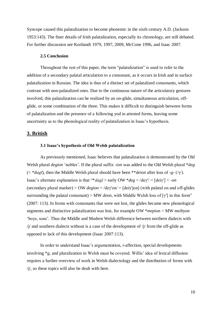Syncope caused this palatalization to become phonemic in the sixth century A.D. (Jackson 1953:143). The finer details of Irish palatalization, especially its chronology, are still debated. For further discussion see Kortlandt 1979, 1997, 2009, McCone 1996, and Isaac 2007.

#### **2.5 Conclusion**

Throughout the rest of this paper, the term "palatalization" is used to refer to the addition of a secondary palatal articulation to a consonant, as it occurs in Irish and in surface palatalization in Russian. The idea is thus of a distinct set of palatalized consonants, which contrast with non-palatalized ones. Due to the continuous nature of the articulatory gestures involved, this palatalization can be realized by an on-glide, simultaneous articulation, offglide, or some combination of the three. This makes it difficult to distinguish between forms of palatalization and the presence of a following yod in attested forms, leaving some uncertainty as to the phonological reality of palatalization in Isaac's hypothesis.

#### **3. British**

#### **3.1 Isaac's hypothesis of Old Welsh palatalization**

As previously mentioned, Isaac believes that palatalization is demonstrated by the Old Welsh plural *degion* 'nobles'. If the plural suffix -*ion* was added to the Old Welsh plural \**deg* ( $\lt$  \**dagī*), then the Middle Welsh plural should have been \*\**deion* after loss of -*g*- (/ $\gamma$ /). Isaac's alternate explanation is that "\**dag* $\bar{i}$  > early OW \**deg* = /de $\gamma$ '/ = [dei $\gamma$ '] + -*on* (secondary plural marker) > OW *degion* = /deγ′on/ = [deiγ′jon] (with palatal on and off-glides surrounding the palatal consonant) > MW *deon*, with Middle Welsh loss of [γ′] in this form" (2007: 113). In forms with consonants that were not lost, the glides became new phonological segments and distinctive palatalization was lost, for example OW \**mepion* > MW *meibyon* 'boys, sons'. Thus the Middle and Modern Welsh difference between northern dialects with  $\frac{1}{\sqrt{2}}$  and southern dialects without is a case of the development of  $\frac{1}{\sqrt{2}}$  from the off-glide as opposed to lack of this development (Isaac 2007:113).

In order to understand Isaac's argumentation, *i*-affection, special developments involving \**g*, and pluralization in Welsh must be covered. Willis' idea of lexical diffusion requires a further overview of work in Welsh dialectology and the distribution of forms with  $/j/$ , so these topics will also be dealt with here.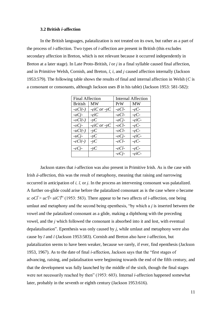#### **3.2 British** *i***-affection**

In the British languages, palatalization is not treated on its own, but rather as a part of the process of *i*-affection. Two types of *i*-affection are present in British (this excludes secondary affection in Breton, which is not relevant because it occurred independently in Breton at a later stage). In Late Proto-British,  $\bar{i}$  or  $i$  in a final syllable caused final affection, and in Primitive Welsh, Cornish, and Breton,  $\bar{i}$ ,  $i$ , and  $i$  caused affection internally (Jackson 1953:579). The following table shows the results of final and internal affection in Welsh (*C* is a consonant or consonants, although Jackson uses *B* in his table) (Jackson 1953: 581-582):

|                      | <b>Final Affection</b> |                          | <b>Internal Affection</b> |
|----------------------|------------------------|--------------------------|---------------------------|
| <b>British</b>       | <b>MW</b>              | PrW                      | <b>MW</b>                 |
| $-aCI(-)$            | $-eiC$ or $-vC$        | $-aC\overline{\iota}$ -  | $-eC$ -                   |
| $-aCi$               | $-eiC$                 | $-aCI$ -                 | $-eC$ -                   |
| $-oCI(-)$            | $\neg yC$              | $-aCi$                   | $-eiC$                    |
| $-oCi-$              | $-eiC$ or $-vC$        | $-oC\overline{\iota}$ -  | $-eC$ -                   |
| $-uC\overline{u}(-)$ | $-yC$                  | $-oC\check{\iota}$ -     | $-eC$ -                   |
| $-uCi$ -             | $-yC$                  | $-oC$ <i>j</i>           | $-eiC$                    |
| $-eC\overline{i}(-)$ | $-yC$                  | - $eC\overline{\iota}$ - | $-eC$ -                   |
| $-eCi$ -             | $-yC$                  | $-eC\tilde{\iota}$ -     | $-eC$ -                   |
|                      |                        | $-eC$ <i>i</i> -         | $-eiC$ -                  |

Jackson states that *i*-affection was also present in Primitive Irish. As is the case with Irish  $\bar{a}$ -affection, this was the result of metaphony, meaning that raising and narrowing occurred in anticipation of *i*, *ī*, or *j*. In the process an intervening consonant was palatalized. A further on-glide could arise before the palatalized consonant as is the case where *o* became *u*:  $oC\bar{i} > uc'\bar{i} > ui'C'\bar{i}'$  (1953: 583). There appear to be two affects of *i*-affection, one being umlaut and metaphony and the second being epenthesis, "by which a  $i$  is inserted between the vowel and the palatalized consonant as a glide, making a diphthong with the preceding vowel, and the  $i$  which followed the consonant is absorbed into it and lost, with eventual depalatalisation". Epenthesis was only caused by  $i$ , while umlaut and metaphony were also cause by  $\bar{t}$  and  $\bar{t}$  (Jackson 1953:583). Cornish and Breton also have *i*-affection, but palatalization seems to have been weaker, because we rarely, if ever, find epenthesis (Jackson 1953, 1967). As to the date of final *i*-affection, Jackson says that the "first stages of advancing, raising, and palatalisation were beginning towards the end of the fifth century, and that the development was fully launched by the middle of the sixth, though the final stages were not necessarily reached by then" (1953: 603). Internal *i*-affection happened somewhat later, probably in the seventh or eighth century (Jackson 1953:616).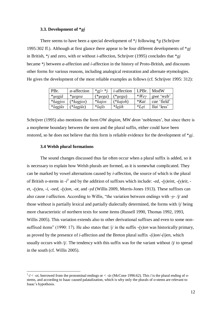#### **3.3. Development of \****gi*

There seems to have been a special development of  $*$  *i* following  $*$  *g* (Schrijver 1995:302 ff.). Although at first glance there appear to be four different developments of  $*gi$ in British,  $*$ *i* and zero, with or without *i*-affection, Schrijver (1995) concludes that  $*$ *gi* became \**i* between *a*-affection and *i*-affection in the history of Proto-British, and discounts other forms for various reasons, including analogical restoration and alternate etymologies. He gives the development of the most reliable examples as follows (cf. Schrijver 1995: 312):

| PBr.                 | <i>a</i> -affection | *gi> *i       | <i>i</i> -affection | LPBr.   | ModW             |
|----------------------|---------------------|---------------|---------------------|---------|------------------|
| $*uegi\bar{a}$       | $*uegea$            | $(*uega)$     | $(*uega)$           | $*Wev$  | <i>gwe</i> 'web' |
| <i>*kagios</i>       | $(*kagios)$         | *kaios        | $(*kaioh)$          | $*$ Kai | cae 'field'      |
| $*lagi\overline{u}s$ | $(*lagi\bar{u}s)$   | $*lai\bar{s}$ | *leiih              | $*Lei$  | llai 'less'      |

Schrijver (1995) also mentions the form OW *degion*, MW *deon* 'noblemen', but since there is a morpheme boundary between the stem and the plural suffix, either could have been restored, so he does not believe that this form is reliable evidence for the development of  $*gi$ .

#### **3.4 Welsh plural formations**

<u>.</u>

The sound changes discussed thus far often occur when a plural suffix is added, so it is necessary to explain how Welsh plurals are formed, as it is somewhat complicated. They can be marked by vowel alternations caused by *i*-affection, the source of which is the plural of British *o*-stems in  $-i^1$  and by the addition of suffixes which include: *-ed*, *-(y)eint*, *-(y)eit*, *et*, *-(y)eu*, -*i*, -*oed*, *-(y)on*, -*ot*, and -*yd* (Willis 2009, Morris-Jones 1913). These suffixes can also cause *i*-affection. According to Willis, "the variation between endings with -*y*- /j/ and those without is partially lexical and partially dialectally determined, the forms with  $\dot{\psi}$  being more characteristic of northern texts for some items (Russell 1990, Thomas 1992, 1993, Willis 2005). This variation extends also to other derivational suffixes and even to some nonsuffixed items" (1990: 17). He also states that /j/ in the suffix *-(y)on* was historically primary, as proved by the presence of *i*-affection and the Breton plural suffix *-(i)on*/-*(i)en*, which usually occurs with  $/\gamma$ . The tendency with this suffix was for the variant without  $/\gamma$  to spread in the south (cf. Willis 2005).

 $1$ - $\bar{i}$  < -*oi*, borrowed from the pronominal endings or < - $\bar{u}s$  (McCone 1996:62). This  $\bar{i}$  is the plural ending of *o*stems, and according to Isaac caused palatalization, which is why only the plurals of *o*-stems are relevant to Isaac's hypothesis.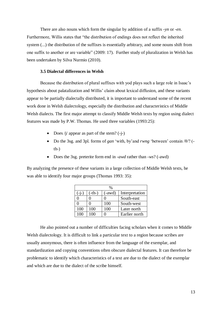There are also nouns which form the singular by addition of a suffix -*yn* or -*en*. Furthermore, Willis states that "the distribution of endings does not reflect the inherited system (...) the distribution of the suffixes is essentially arbitrary, and some nouns shift from one suffix to another or are variable" (2009: 17). Further study of pluralization in Welsh has been undertaken by Silva Nurmio (2010).

#### **3.5 Dialectal differences in Welsh**

Because the distribution of plural suffixes with yod plays such a large role in Isaac's hypothesis about palatalization and Willis' claim about lexical diffusion, and these variants appear to be partially dialectally distributed, it is important to understand some of the recent work done in Welsh dialectology, especially the distribution and characteristics of Middle Welsh dialects. The first major attempt to classify Middle Welsh texts by region using dialect features was made by P.W. Thomas. He used three variables (1993:25):

- Does  $/i$  appear as part of the stem?  $(-i-)$
- Do the 3sg. and 3pl. forms of *gan* 'with, by'and *rwng* 'between' contain /θ/? (  $th$ - $)$
- Does the 3sg. preterite form end in -*awd* rather than -*ws*? (-awd)

By analyzing the presence of these variants in a large collection of Middle Welsh texts, he was able to identify four major groups (Thomas 1993: 35):

|         | %        |        |                |  |
|---------|----------|--------|----------------|--|
| $(-j-)$ | $(-th-)$ | (-awd) | Interpretation |  |
|         |          |        | South-east     |  |
|         |          | 100    | South-west     |  |
| 100     | 100      | 100    | Later north    |  |
| 100     | 100      |        | Earlier north  |  |

He also pointed out a number of difficulties facing scholars when it comes to Middle Welsh dialectology. It is difficult to link a particular text to a region because scribes are usually anonymous, there is often influence from the language of the exemplar, and standardization and copying conventions often obscure dialectal features. It can therefore be problematic to identify which characteristics of a text are due to the dialect of the exemplar and which are due to the dialect of the scribe himself.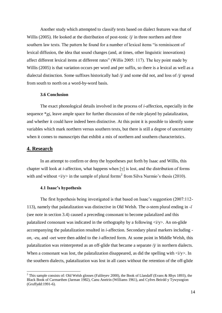Another study which attempted to classify texts based on dialect features was that of Willis (2005). He looked at the distribution of post-tonic  $\dot{\gamma}$  in three northern and three southern law texts. The pattern he found for a number of lexical items "is reminiscent of lexical diffusion, the idea that sound changes (and, at times, other linguistic innovations) affect different lexical items at different rates" (Willis 2005: 117). The key point made by Willis (2005) is that variation occurs per word and per suffix, so there is a lexical as well as a dialectal distinction. Some suffixes historically had  $\dot{\gamma}$  and some did not, and loss of  $\dot{\gamma}$  spread from south to north on a word-by-word basis.

#### **3.6 Conclusion**

The exact phonological details involved in the process of *i*-affection, especially in the sequence \**gi*, leave ample space for further discussion of the role played by palatalization, and whether it could have indeed been distinctive. At this point it is possible to identify some variables which mark northern versus southern texts, but there is still a degree of uncertainty when it comes to manuscripts that exhibit a mix of northern and southern characteristics.

#### **4. Research**

<u>.</u>

In an attempt to confirm or deny the hypotheses put forth by Isaac and Willis, this chapter will look at *i*-affection, what happens when [γ] is lost, and the distribution of forms with and without  $\langle i/y \rangle$  in the sample of plural forms<sup>2</sup> from Silva Nurmio's thesis (2010).

#### **4.1 Isaac's hypothesis**

The first hypothesis being investigated is that based on Isaac's suggestion (2007:112- 113), namely that palatalization was distinctive in Old Welsh. The *o*-stem plural ending in - (see note in section 3.4) caused a preceding consonant to become palatalized and this palatalized consonant was indicated in the orthography by a following  $\langle i/y \rangle$ . An on-glide accompanying the palatalization resulted in *i*-affection. Secondary plural markers including *on*, -*eu*, and -*oet* were then added to the *i*-affected form. At some point in Middle Welsh, this palatalization was reinterpreted as an off-glide that became a separate  $\gamma/\gamma$  in northern dialects. When a consonant was lost, the palatalization disappeared, as did the spelling with  $\langle i/\gamma \rangle$ . In the southern dialects, palatalization was lost in all cases without the retention of the off-glide

<sup>&</sup>lt;sup>2</sup> This sample consists of: Old Welsh glosses (Falileyev 2000), the Book of Llandaff (Evans & Rhys 1893), the Black Book of Carmarthen (Jarman 1982), Canu Aneirin (Williams 1961), and Cyfres Beirdd y Tywysogion (Gruffydd:1991-6).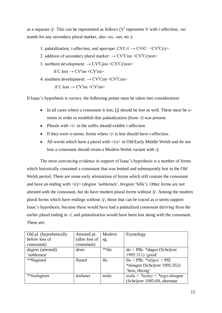as a separate /j/. This can be represented as follows (V<sup>i</sup> represents V with *i*-affection; -*on* stands for any secondary plural marker, also -*eu*, -*oet*, etc.):

- 1. palatalization, *i*-affection, and apocope:  $CVC$ - $\bar{I} \rightarrow CV^iC^j \ll CV^iC^j$
- 2. addition of secondary plural marker:  $\rightarrow$  CV<sup>i</sup>Cion < CV<sup>i</sup>Ci/yon >
- 3. northern development:  $\rightarrow$  CV<sup>i</sup>Cion < CV<sup>i</sup>Ci/von>

if C lost  $\rightarrow$  CV<sup>i</sup>on < CV<sup>i</sup>on>

4. southern development:  $\rightarrow$  CV<sup>i</sup>Con < CV<sup>i</sup>Con >

if C lost  $\rightarrow$  CV<sup>i</sup>on < CV<sup>i</sup>on>

If Isaac's hypothesis is correct, the following points must be taken into consideration:

- In all cases where a consonant is lost, [j] should be lost as well. These must be *o*stems in order to establish that palatalization (from  $-i$ ) was present.
- Plurals with  $\langle i \rangle$  in the suffix should exhibit *i*-affection.
- If they were *o*-stems, forms where /γ/ is lost should have *i*-affection.
- All words which have a plural with  $\langle i/\rangle$  in Old/Early Middle Welsh and do not lose a consonant should retain a Modern Welsh variant with /j/.

The most convincing evidence in support of Isaac's hypothesis is a number of forms which historically contained a consonant that was lenited and subsequently lost in the Old Welsh period. There are some early attestations of forms which still contain the consonant and have an ending with  $\langle i/y \rangle$  (*degion* 'noblemen', *bregion* 'hills'). Other forms are not attested with the consonant, but do have modern plural forms without  $/j'$ . Among the modern plural forms which have endings without /j/, those that can be traced as *o*-stems support Isaac's hypothesis, because these would have had a palatalized consonant deriving from the earlier plural ending in  $-i$ , and palatalization would have been lost along with the consonant. These are:

| Old pl. (hypothetically  | Attested pl.   | Modern              | Etymology                        |
|--------------------------|----------------|---------------------|----------------------------------|
| before loss of           | (after loss of | sg.                 |                                  |
| consonant)               | consonant)     |                     |                                  |
| <i>degion</i> (attested) | deon           | $*$ <sup>*</sup> da | $da$ < PBr. * $dagos$ (Schrijver |
| 'noblemen'               |                |                     | 1995:311) 'good'                 |
| **llugioed               | lluoed         | llu                 | $llu$ < PBr. *slogos < PIE       |
|                          |                |                     | *slougos (Schrijver 1995:352)    |
|                          |                |                     | 'host, throng'                   |
| **teulugioet             | teuluoet       | teulu               | teulu < *teyluy < *tego-slougos  |
|                          |                |                     | (Schrijver 1995:69, alternate    |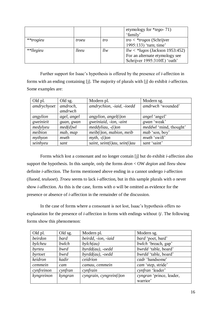|             |       |     | etymology for $*_{tego}$ -71)<br>'family' |
|-------------|-------|-----|-------------------------------------------|
|             |       |     |                                           |
| $**trogieu$ | troeu | tro | $tro \le$ *trogos (Schrijver              |
|             |       |     | 1995:133) 'turn; time'                    |
| **llegieu   | lleeu | llw | $llw <$ *lugos (Jackson 1953:452)         |
|             |       |     | For an alternate etymology see            |
|             |       |     | Schrijver 1995:310ff.) 'oath'             |

Further support for Isaac's hypothesis is offered by the presence of *i*-affection in forms with an ending containing [j]. The majority of plurals with [j] do exhibit *i*-affection. Some examples are:

| Old pl.     | Old sg.     | Modern pl.                   | Modern sg.                    |
|-------------|-------------|------------------------------|-------------------------------|
| amdrychyoet | amdroch,    | amdrychion, -iaid, -ioedd    | amdrwch 'wounded'             |
|             | amdrwch     |                              |                               |
| angylion    | agel, angel | angylion, angle(i)           | <i>angel</i> 'angel'          |
| gweinieit   | guan, gwan  | gweiniaid, -ion, -aint       | gwan 'weak'                   |
| medylyeu    | $med(d)$ wl | $meddyliau, -(i)on$          | <i>meddwl</i> 'mind, thought' |
| meibion     | mab, map    | $meib(i)$ on, mabion, meib   | mab 'son, boy'                |
| mythyon     | mwth        | $myth, -(i)$ on              | mwth 'swift'                  |
| seinhyeu    | sant        | saint, seint(i)au, sein(i)au | sant 'saint'                  |

Forms which lost a consonant and no longer contain [j] but do exhibit *i*-affection also support the hypothesis. In this sample, only the forms *deon* < OW *degion* and *lleeu* show definite *i*-affection. The forms mentioned above ending in *u* cannot undergo *i*-affection (*lluoed*, *teuluoet*). *Troeu* seems to lack *i*-affection, but in this sample plurals with *o* never show *i*-affection. As this is the case, forms with *o* will be omitted as evidence for the presence or absence of *i*-affection in the remainder of the discussion.

In the case of forms where a consonant is not lost, Isaac's hypothesis offers no explanation for the presence of *i*-affection in forms with endings without  $/\gamma$ . The following forms show this phenomenon:

| Old pl.    | Old sg. | Modern pl.              | Modern sg.               |
|------------|---------|-------------------------|--------------------------|
| beirdon    | bard    | beirdd, -ion, -iaid     | bard 'poet, bard'        |
| bylcheu    | bwlch   | $b$ ylch $(au)$         | bwlch 'breach, gap'      |
| byrteu     | bwrd    | $byrdd(au)$ , -oedd     | bwrdd 'table, board'     |
| byrtoet    | bwrd    | $byrdd(au)$ , -oedd     | bwrdd 'table, board'     |
| keidron    | kadir   | ceidrion                | cadr 'handsome'          |
| cemmein    | cam     | camau, cemmein          | cam 'step, stride'       |
| cynfreinon | cynfran | cynfrain                | cynfran 'leader'         |
| kyngreinon | kyngran | cyngrain, cyngrein(i)on | cyngran 'prince, leader, |
|            |         |                         | warrior'                 |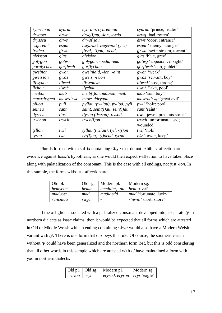| kynreinon  | kynran   | cynrain, cynreinion                  | cynran 'prince, leader'              |
|------------|----------|--------------------------------------|--------------------------------------|
| drygoet    | drwc     | $dryg(i)au$ , -ion, -oedd            | drwg 'bad, rotten'                   |
| drysseu    | drws     | drws(i)au                            | drws 'door, entrance'                |
| esgereint  | esgar    | esgarant, esgeraint $(y)$            | <i>esgar</i> 'enemy, stranger'       |
| frydeu     | ffrwt    | $ffryd, -(i)au, -oedd,$              | <i>ffrwd</i> 'swift stream, torrent' |
| gleisson   | glas     | gleision                             | <i>glas</i> 'blue, grey'             |
| golygon    | golwc    | golygon, -oedd, -edd                 | golwg 'appearance, sight'            |
| gorulycheu | gorflwch | gorflychau                           | gorflwch 'cup, goblet'               |
| gweinon    | gwan     | gweiniaid, -ion, -aint               | gwan 'weak'                          |
| gweisson   | gwas     | gweis, $-(i)$ on                     | gwas 'servant, boy'                  |
| lliwydoet  | lliwed   | lliwedawr                            | <i>lliwed</i> 'host, throng'         |
| lichou     | llwch    | llychau                              | <i>llwch</i> 'lake, pool'            |
| meibon     | mab      | $meib(i)$ on, mabion, meib           | mab 'son, boy'                       |
| mawrdrygeu | mawrdrwc | mawr ddrygau                         | <i>mawrddrwg</i> 'great evil'        |
| pillou     | pull     | pyllau (pwllau), pyllod, pyll        | <i>pwll</i> 'hole; pool'             |
| seineu     | sant     | saint, seint $(i)$ au, sein $(i)$ au | sant 'saint'                         |
| tlysseu    | tlus     | tlysau (tlwsau), tlysod              | tlws 'jewel, precious stone'         |
| trychon    | trwch    | $trych(i)$ on                        | trwch 'unfortunate, sad;             |
|            |          |                                      | wounded'                             |
| tyllon     | twll     | tyllau (twllau), tyll, $-(i)$ on     | twll 'hole'                          |
| tyrau      | twr      | $tyr(i)au, -(i)oedd, tyrod$          | tŵr 'tower, keep'                    |

Plurals formed with a suffix containing  $\langle i/y \rangle$  that do not exhibit *i*-affection are evidence against Isaac's hypothesis, as one would then expect *i*-affection to have taken place along with palatalization of the consonant. This is the case with all endings, not just -*ion*. In this sample, the forms without *i*-affection are:

| Old pl.  | Old sg. | Modern pl.    | Modern sg.                    |
|----------|---------|---------------|-------------------------------|
| hemyeint | hemm    | hemiaint, -au | hem 'rivet'                   |
| madyoet  | mad     | madioedd      | <i>mad</i> 'fortunate, lucky' |
| runcniau | rwgc    |               | <i>rhwnc</i> 'snort, snore'   |

If the off-glide associated with a palatalized consonant developed into a separate  $/j$  in northern dialects as Isaac claims, then it would be expected that all forms which are attested in Old or Middle Welsh with an ending containing  $\langle i/y \rangle$  would also have a Modern Welsh variant with /j/. There is one form that disobeys this rule. Of course, the southern variant without /j/ could have been generalized and the northern form lost, but this is odd considering that all other words in this sample which are attested with  $j$  have maintained a form with yod in northern dialects.

| Old pl.   Old sg.    | Modern pl.                           | Modern sg. |
|----------------------|--------------------------------------|------------|
| $eririon$ $ $ $eryr$ | <i>eryrod, eryron</i>   eryr 'eagle' |            |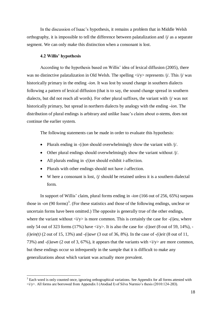In the discussion of Isaac's hypothesis, it remains a problem that in Middle Welsh orthography, it is impossible to tell the difference between palatalization and  $\dot{\gamma}$  as a separate segment. We can only make this distinction when a consonant is lost.

#### **4.2 Willis' hypothesis**

1

According to the hypothesis based on Willis' idea of lexical diffusion (2005), there was no distinctive palatalization in Old Welsh. The spelling  $\langle i/\gamma \rangle$  represents /j/. This /j/ was historically primary in the ending -*ion*. It was lost by sound change in southern dialects following a pattern of lexical diffusion (that is to say, the sound change spread in southern dialects, but did not reach all words). For other plural suffixes, the variant with  $\gamma/\gamma$  was not historically primary, but spread in northern dialects by analogy with the ending -*ion*. The distribution of plural endings is arbitrary and unlike Isaac's claim about *o*-stems, does not continue the earlier system.

The following statements can be made in order to evaluate this hypothesis:

- Plurals ending in  $-(i)$  on should overwhelmingly show the variant with  $/i$ .
- Other plural endings should overwhelmingly show the variant without  $/j$ .
- All plurals ending in *-(i)on* should exhibit *i*-affection.
- Plurals with other endings should not have *i*-affection.
- W here a consonant is lost,  $\frac{1}{\sqrt{2}}$  should be retained unless it is a southern dialectal form.

In support of Willis' claim, plural forms ending in -*ion* (166 out of 256, 65%) surpass those in  $\cdot$ *on* (90 forms)<sup>3</sup>. (For these statistics and those of the following endings, unclear or uncertain forms have been omitted.) The opposite is generally true of the other endings, where the variant without  $\langle i/y \rangle$  is more common. This is certainly the case for *-(i)eu*, where only 54 out of 323 forms (17%) have  $\langle i/\gamma \rangle$ . It is also the case for  $-i$ *i*)*oet* (8 out of 59, 14%), -*(i)ein(t)* (2 out of 15, 13%) and *-(i)awr* (3 out of 36, 8%). In the case of *-(i)eit* (8 out of 11, 73%) and  $-(i)$ *awn* (2 out of 3, 67%), it appears that the variants with  $\langle i/y \rangle$  are more common, but these endings occur so infrequently in the sample that it is difficult to make any generalizations about which variant was actually more prevalent.

 $3$  Each word is only counted once, ignoring orthographical variations. See Appendix for all forms attested with  $\langle i/\gamma \rangle$ . All forms are borrowed from Appendix I (Atodiad I) of Silva Nurmio's thesis (2010:124-283).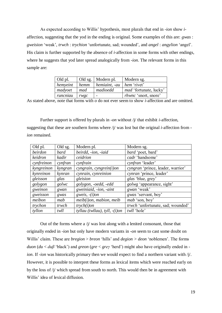As expected according to Willis' hypothesis, most plurals that end in -*ion* show *i*affection, suggesting that the yod in the ending is original. Some examples of this are: *gwas* : *gweision* 'weak', *trwch* : *trychion* 'unfortunate, sad; wounded', and *angel* : *angylion* 'angel'. His claim is further supported by the absence of *i*-affection in some forms with other endings, where he suggests that yod later spread analogically from -*ion*. The relevant forms in this sample are:

| Old pl.  |                     | Old sg.   Modern pl.        | Modern sg.                    |
|----------|---------------------|-----------------------------|-------------------------------|
| hemyeint | $\blacksquare$ hemm | hemiaint, $-au$ hem 'rivet' |                               |
| madyoet  | mad                 | madioedd                    | <i>mad</i> 'fortunate, lucky' |
| runcniau | rwgc                |                             | <i>rhwnc</i> 'snort, snore'   |

As stated above, note that forms with *o* do not ever seem to show *i*-affection and are omitted.

Further support is offered by plurals in -*on* without /j/ that exhibit *i*-affection, suggesting that these are southern forms where /j/ was lost but the original *i*-affection from *ion* remained.

| Old pl.    | Old sg. | Modern pl.                       | Modern sg.                        |
|------------|---------|----------------------------------|-----------------------------------|
| beirdon    | bard    | beirdd, -ion, -iaid              | bard 'poet, bard'                 |
| keidron    | kadir   | ceidrion                         | cadr 'handsome'                   |
| cynfreinon | cynfran | cynfrain                         | cynfran 'leader'                  |
| kyngreinon | kyngran | $cyngrain, cyngrein(i)$ on       | cyngran 'prince, leader, warrior' |
| kynreinon  | kynran  | cynrain, cynreinion              | cynran 'prince, leader'           |
| gleisson   | glas    | gleision                         | <i>glas</i> 'blue, grey'          |
| golygon    | golwc   | golygon, -oedd, -edd             | <i>golwg</i> 'appearance, sight'  |
| gweinon    | gwan    | gweiniaid, -ion, -aint           | gwan 'weak'                       |
| gweisson   | gwas    | gweis, $-(i)$ on                 | gwas 'servant, boy'               |
| meibon     | mab     | $meib(i)$ on, mabion, meib       | <i>mab</i> 'son, boy'             |
| trychon    | trwch   | $trych(i)$ on                    | trwch 'unfortunate, sad; wounded' |
| tyllon     | twll    | tyllau (twllau), tyll, $-(i)$ on | twll 'hole'                       |

Out of the forms where a  $\dot{\psi}$  was lost along with a lenited consonant, those that originally ended in -*ion* but only have modern variants in -*on* seem to cast some doubt on Willis' claim. These are *bregion* > *breon* 'hills' and *degion > deon* 'noblemen'. The forms *duon* (*du* < *duβ* 'black') and *greon* (*gre* < *greγ* 'herd') might also have originally ended in *ion*. If -*ion* was historically primary then we would expect to find a northern variant with /j/. However, it is possible to interpret these forms as lexical items which were reached early on by the loss of  $/j$  which spread from south to north. This would then be in agreement with Willis' idea of lexical diffusion.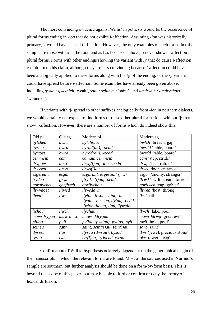The most convincing evidence against Willis' hypothesis would be the occurrence of plural forms ending in -*ion* that do not exhibit *i*-affection. Assuming -*ion* was historically primary, it would have caused *i*-affection. However, the only examples of such forms in this sample are those with *o* in the root, and as has been seen above, *o* never shows *i*-affection in plural forms. Forms with other endings showing the variant with /j/ that do cause *i*-affection cast doubt on his claim, although they are less convincing because *i*-affection could have been analogically applied to these forms along with the  $\gamma/\gamma$  of the ending, or the  $\gamma/\gamma$  variant could have spread before *i*-affection. Some examples have already been given above, including *gwan* : *gweinieit* 'weak', *sant* : *seinhyeu* 'saint', and *amdrwch* : *amdrychoet* 'wounded'.

If variants with /j/ spread to other suffixes analogically from -*ion* in northern dialects, we would certainly not expect to find forms of these other plural formations without /j/ that show *i*-affection. However, there are a number of forms which do indeed show this:

| Old pl.    | Old sg.      | Modern pl.                       | Modern sg.                          |
|------------|--------------|----------------------------------|-------------------------------------|
| bylcheu    | bwlch        | $b$ ylch $(au)$                  | bwlch 'breach, gap'                 |
| byrteu     | bwrd         | $byrdd(au)$ , -oedd              | bwrdd 'table, board'                |
| byrtoet    | bwrd         | $byrdd(au)$ , -oedd              | <i>bwrdd</i> 'table, board'         |
| cemmein    | cam          | camau, cemmein                   | cam 'step, stride'                  |
| drygoet    | drwc         | $dryg(i)au$ , -ion, -oedd        | drwg 'bad, rotten'                  |
| drysseu    | drws         | drws(i)au                        | drws 'door, entrance'               |
| esgereint  | esgar        | esgarant, esgeraint $(y)$        | esgar 'enemy, stranger'             |
| frydeu     | ffrwt        | $ffryd, -(i)au, -oedd,$          | ffrwd 'swift stream, torrent'       |
| gorulycheu | gorflwch     | gorflychau                       | <i>gorflwch</i> 'cup, goblet'       |
| lliwydoet  | lliwed       | lliwedawr                        | <i>lliwed</i> 'host, throng'        |
| lleeu      | llw          | llyfon, llwon, -aint, -au,       | llw 'oath'                          |
|            |              | llyain, -au, -on, llyfau, -oedd, |                                     |
|            |              | llwfon, lleiau, llau, llywaint   |                                     |
| lichou     | <i>llwch</i> | llychau                          | <i>llwch</i> 'lake, pool'           |
| mawrdrygeu | mawrdrwc     | mawr ddrygau                     | <i>mawrddrwg</i> 'great evil'       |
| pillou     | pull         | pyllau (pwllau), pyllod, pyll    | <i>pwll</i> 'hole; pool'            |
| seineu     | sant         | saint, seint(i)au, sein(i)au     | sant 'saint'                        |
| tlysseu    | tlus         | tlysau (tlwsau), tlysod          | <i>tlws</i> 'jewel, precious stone' |
| tyrau      | twr          | $tyr(i)au, -(i)oedd, tyrod$      | tŵr 'tower, keep'                   |

Confirmation of Willis' hypothesis is largely dependent on the geographical origin of the manuscripts in which the relevant forms are found. Most of the sources used in Nurmio's sample are southern, but further analysis should be done on a form-by-form basis. This is beyond the scope of this paper, but may be able to further confirm or deny the theory of lexical diffusion.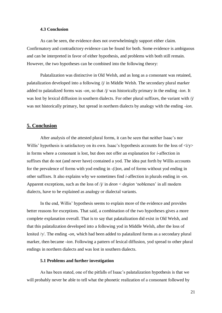#### **4.3 Conclusion**

As can be seen, the evidence does not overwhelmingly support either claim. Confirmatory and contradictory evidence can be found for both. Some evidence is ambiguous and can be interpreted in favor of either hypothesis, and problems with both still remain. However, the two hypotheses can be combined into the following theory:

Palatalization was distinctive in Old Welsh, and as long as a consonant was retained, palatalization developed into a following  $\pi/\sqrt{m}$  in Middle Welsh. The secondary plural marker added to palatalized forms was -*on*, so that /j/ was historically primary in the ending -*ion*. It was lost by lexical diffusion in southern dialects. For other plural suffixes, the variant with  $\dot{\psi}$ was not historically primary, but spread in northern dialects by analogy with the ending -*ion*.

#### **5. Conclusion**

After analysis of the attested plural forms, it can be seen that neither Isaac's nor Willis' hypothesis is satisfactory on its own. Isaac's hypothesis accounts for the loss of  $\langle i/y \rangle$ in forms where a consonant is lost, but does not offer an explanation for *i*-affection in suffixes that do not (and never have) contained a yod. The idea put forth by Willis accounts for the prevalence of forms with yod ending in *-(i)on*, and of forms without yod ending in other suffixes. It also explains why we sometimes find *i*-affection in plurals ending in -*on*. Apparent exceptions, such as the loss of  $/\gamma$  in *deon* < *degion* 'noblemen' in all modern dialects, have to be explained as analogy or dialectal variants.

In the end, Willis' hypothesis seems to explain more of the evidence and provides better reasons for exceptions. That said, a combination of the two hypotheses gives a more complete explanation overall. That is to say that palatalization did exist in Old Welsh, and that this palatalization developed into a following yod in Middle Welsh, after the loss of lenited /γ/. The ending -*on*, which had been added to palatalized forms as a secondary plural marker, then became -*ion*. Following a pattern of lexical diffusion, yod spread to other plural endings in northern dialects and was lost in southern dialects.

#### **5.1 Problems and further investigation**

As has been stated, one of the pitfalls of Isaac's palatalization hypothesis is that we will probably never be able to tell what the phonetic realization of a consonant followed by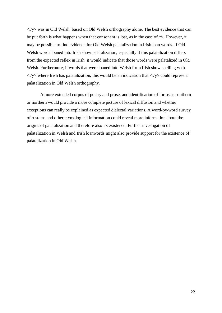$\langle i/y \rangle$  was in Old Welsh, based on Old Welsh orthography alone. The best evidence that can be put forth is what happens when that consonant is lost, as in the case of  $/\gamma$ . However, it may be possible to find evidence for Old Welsh palatalization in Irish loan words. If Old Welsh words loaned into Irish show palatalization, especially if this palatalization differs from the expected reflex in Irish, it would indicate that those words were palatalized in Old Welsh. Furthermore, if words that were loaned into Welsh from Irish show spelling with  $\langle i/y \rangle$  where Irish has palatalization, this would be an indication that  $\langle i/y \rangle$  could represent palatalization in Old Welsh orthography.

A more extended corpus of poetry and prose, and identification of forms as southern or northern would provide a more complete picture of lexical diffusion and whether exceptions can really be explained as expected dialectal variations. A word-by-word survey of *o*-stems and other etymological information could reveal more information about the origins of palatalization and therefore also its existence. Further investigation of palatalization in Welsh and Irish loanwords might also provide support for the existence of palatalization in Old Welsh.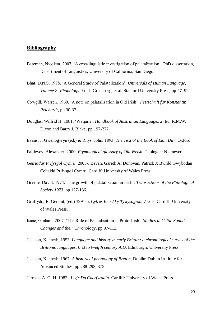#### **Bibliography**

- Bateman, Nicoleta. 2007. 'A crosslinguistic investigation of palatalization'. PhD dissertation, Department of Linguistics, University of California, San Diego.
- Bhat, D.N.S. 1978. 'A General Study of Palatalization'. *Universals of Human Language, Volume 2: Phonology*. Ed. J. Greenberg, et al. Stanford University Press, pp 47–92.
- Cowgill, Warren. 1969. 'A note on palatalization in Old Irish'. *Festschrift für Konstantin Reichardt*, pp 30-37.
- Douglas, Wilfrid H. 1981. 'Watjarri'. *Handbook of Australian Languages 2*. Ed. R.M.W. Dixon and Barry J. Blake. pp 197-272.
- Evans, J. Gwenogvryn (ed.) & Rhŷs, John. 1893. *The Text of the Book of Llan Dav*. Oxford.

Falileyev, Alexander. 2000. *Etymological glossary of Old Welsh*. Tübingen: Niemeyer.

- *Geiriadur Prifysgol Cymru*. 2003-. Bevan, Gareth A; Donovan, Patrick J; Bwrdd Gwybodau Celtaidd Prifysgol Cymru. Cardiff: University of Wales Press.
- Greene, David. 1974. 'The growth of palatalization in Irish'. *Transactions of the Philological Society 1973*, pp 127-136.
- Gruffydd, R. Geraint, (ed.) 1991-6. *Cyfres Beirdd y Tywysogion*, 7 vols. Cardiff: University of Wales Press.
- Isaac, Graham. 2007. 'The Rule of Palatalisation in Proto-Irish'. *Studies in Celtic Sound Changes and their Chronology*, pp 97-113.
- Jackson, Kenneth. 1953. *Language and history in early Britain: a chronological survey of the Brittonic languages, first to twelfth century A.D*. Edinburgh: University Press.
- Jackson, Kenneth. 1967. *A historical phonology of Breton*. Dublin: Dublin Institute for Advanced Studies, pp 288-293, 375.

Jarman, A. O. H. 1982. *Llyfr Du Caerfyrddin*. Cardiff: University of Wales Press.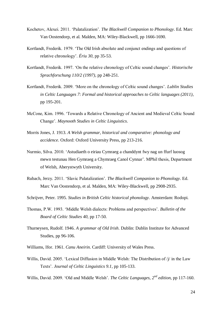- Kochetov, Alexei. 2011. 'Palatalization'. *The Blackwell Companion to Phonology*. Ed. Marc Van Oostendorp, et al. Malden, MA: Wiley-Blackwell, pp 1666-1690.
- Kortlandt, Frederik. 1979. 'The Old Irish absolute and conjunct endings and questions of relative chronology'. *Ériu 30*, pp 35-53.
- Kortlandt, Frederik. 1997. 'On the relative chronology of Celtic sound changes'. *Historische Sprachforschung 110/2 (1997)*, pp 248-251.
- Kortlandt, Frederik. 2009. 'More on the chronology of Celtic sound changes'. *Lublin Studies in Celtic Languages 7: Formal and historical approaches to Celtic languages (2011)*, pp 195-201.
- McCone, Kim. 1996. 'Towards a Relative Chronology of Ancient and Medieval Celtic Sound Change'. *Maynooth Studies in Celtic Linguistics*.
- Morris Jones, J. 1913. *A Welsh grammar, historical and comparative: phonology and accidence*. Oxford: Oxford University Press, pp 213-216.
- Nurmio, Silva. 2010. 'Astudiaeth o eiriau Cymraeg a chanddynt fwy nag un ffurf luosog mewn testunau Hen Gymraeg a Chymraeg Canol Cynnar'. MPhil thesis, Department of Welsh, Aberystwyth University.
- Rubach, Jerzy. 2011. 'Slavic Palatalization'. *The Blackwell Companion to Phonology*. Ed. Marc Van Oostendorp, et al. Malden, MA: Wiley-Blackwell, pp 2908-2935.
- Schrijver, Peter. 1995. *Studies in British Celtic historical phonology*. Amsterdam: Rodopi.
- Thomas, P.W. 1993. 'Middle Welsh dialects: Problems and perspectives'. *Bulletin of the Board of Celtic Studies 40*, pp 17-50.
- Thurneysen, Rudolf. 1946. *A grammar of Old Irish*. Dublin: Dublin Institute for Advanced Studies, pp 96-106.
- Williams, Ifor. 1961. *Canu Aneirin*. Cardiff: University of Wales Press.
- Willis, David. 2005. 'Lexical Diffusion in Middle Welsh: The Distribution of /j/ in the Law Texts'. *Journal of Celtic Linguistics 9.1*, pp 105-133.
- Willis, David. 2009. 'Old and Middle Welsh'. *The Celtic Languages, 2nd edition*, pp 117-160.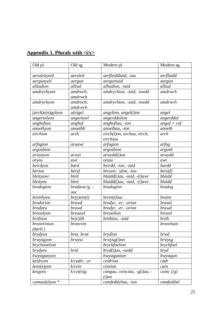| Appendix 1. Plurals with $\langle i/y \rangle$ |  |
|------------------------------------------------|--|
|------------------------------------------------|--|

| Old pl.                      | Old sg.           | Modern pl.                     | Modern sg.                       |
|------------------------------|-------------------|--------------------------------|----------------------------------|
|                              |                   |                                |                                  |
| aeruleityeid                 | aeruleit          | aerfleiddiaid, -iau            | aerflaidd                        |
| aergunyeit                   | aergun            | aerguniaid                     | aergun                           |
| alltudion                    | alltud            | alltudion, -iaid               | alltud                           |
| amdrychyoet                  | amdroch,          | amdrychion, -iaid, -ioedd      | amdrwch                          |
|                              | amdrwch           |                                |                                  |
| amdrychyon                   | amdroch,          | amdrychion, -iaid, -ioedd      | amdrwch                          |
|                              | amdrwch           |                                |                                  |
| $(\textit{arch})e(n)$ gylyon | $a(n)$ gel        | angylion, angel(i)on           | angel                            |
| angertolyon                  | angertawl         | angerddolion                   | angerddol                        |
| anghofiau                    | anghof            | anghofiau, -ion                | $angof = cof$                    |
| anoethyon                    | anoethh           | anoethau, -ion                 | anoeth                           |
| eirchion                     | arch              | eirch(i)on, archau, eirch,     | arch                             |
|                              |                   | eirchiau                       |                                  |
| arfogion                     | aruawc            | arfogion                       | arfog                            |
| argosbion                    |                   | argosbion                      | argosb                           |
| arwytyon                     | arwyt             | $arwydd(i)$ on                 | arwydd                           |
| oryeu                        | awr               | oriau                          | awr                              |
| beirdyon                     | bard              | beirdd, -ion, -iaid            | <b>bardd</b>                     |
| berion                       | beryf             | beryon, -yfon, -ïon            | bery(f)                          |
| bleityawr                    | bleit             | $blaidd(i)au$ , -iaid, -(i)awr | blaidd                           |
| bleityeu                     | bleit             | $blaidd(i)au$ , -iaid, -(i)awr | blaidd                           |
| bradogion                    | $bradawc/g, -$    | bradogion                      | <i>bradog</i>                    |
|                              | $_{\textit{OUC}}$ |                                |                                  |
| breinhyeu                    | $br(y)$ ein(t)    | $brein(t)$ iau                 | <b>braint</b>                    |
| <b>brodorion</b>             | brawd             | brodyr, -er, -orion            | <i>brawd</i>                     |
| <i>brodyeu</i>               | <b>brawd</b>      | brodyr, -er, -orion            | <b>brawd</b>                     |
| breuolyon                    | breuawl           | breuolion                      | breuol                           |
| <i>brithion</i>              | $br(e)$ ith       | brithion, -iaid                | brith                            |
| bronreinion                  | bronrein          |                                | bronrhain                        |
| (darll.)                     |                   |                                |                                  |
| brydyon                      | brot, brwt        | <i>brydion</i>                 | brwd                             |
| brwysgyon                    | brwysc            | $b$ rwysg $(i)$ on             | brwysg                           |
| brychuoelion                 |                   | brychfoelion                   | brychfoel                        |
| <i>brydyeu</i>               | brid              | bryd(i)au, -oedd               | bryd                             |
| bwystgunyon                  |                   | bwystgunion                    | bwystgun                         |
| keidryon                     | $k$ /cadir, -yr   | ceidrion                       | cadr                             |
| $\text{kein}(n)$ yon         | k/cein            | $ceinion$                      | cain                             |
| keigyeu                      | k/cei(n)g         | cangau, ceinciau, -g(i)au, -   | cainc $\left(\frac{1}{g}\right)$ |
|                              |                   | $(i)$ on                       |                                  |
| camuedylyon *                |                   | camfeddyliau, -ion             | camfeddwl                        |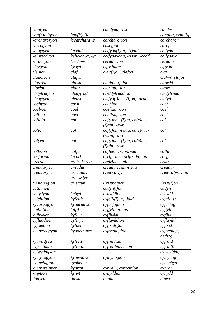| camlyeu       |                  | camlyau, -lwon                                    | camlw                    |
|---------------|------------------|---------------------------------------------------|--------------------------|
| can(h)oligyon | kan(h)olic       |                                                   | canolig, cenolig         |
| karcharoryon  | k/carcharawr     | carcharorion                                      | carcharor                |
| cassogyon     |                  | casogion                                          | casog                    |
| keluytyeid    | k/celuit         | $celfydd(i)on, -(i)aid$                           | celfydd                  |
| keluytodyon   | keluydawt, -yt   | celfyddydau, -(i)on, -oedd                        | celfyddyd                |
| kerdoryon     | kerdawr          | cerddorion                                        | cerddor                  |
| kicytyon      | kygyd            | cigyddion                                         | cigydd                   |
| cleuion       | claf             | $cleif(i)$ on, clafon                             | claf                     |
| clauorion     | clafwr           |                                                   | clafwr, clafor           |
| clodyeu       | clawd            | cloddiau, -ion                                    | clawdd                   |
| cloriou       | claur            | cloriau, -ion                                     | clawr                    |
| cletyfrutyon  | cledyfrud        | cleddyfruddion                                    | $c$ ledyfrudd            |
| cleuytyeu     | cleuyt           | clefyd(i)au, -(i)on, -oedd                        | $c$ <i>lefyd</i>         |
| cochyon       | coch             | cochion                                           | coch                     |
| coelyon       | coel             | coeliau, -ion                                     | coel                     |
| coiliou       | coel             | coeliau, -ion                                     | coel                     |
| cofiain       | $\frac{cof}{c}$  | $cof(i)$ on, -(i)au, $co(e)$ au, -                | $\cot$                   |
|               |                  | (i)ain, -awr                                      |                          |
| cofion        | $\overline{cof}$ | $cof(i)$ on, -(i)au, $co(e)$ au, -                | $\cot$                   |
|               |                  | $(i)$ ain, -awr                                   |                          |
| cofyeu        | $\frac{cof}{c}$  | $cof(i)$ on, $-(i)$ au, $co(e)$ au, -             | $\overline{cof}$         |
|               |                  | $(i)$ ain, -awr                                   |                          |
| coffeion      | coffa            | coffeion, -aon, -âu                               | $\textit{coffa}$         |
| corforion     | $k$ /corf        | cyrff, -au, corffoedd, -au                        | $\frac{corff}{}$         |
| creirieu      | creir, kereir    | creiriau, -iaid                                   | crair                    |
| creaduryeu    | creadur          | creaduriaid, -(i)au                               | creadur                  |
| creaduryeu    | creaudir,        | creawdwyr                                         | $creawd(w)r, -ur$        |
|               | creawdyr         |                                                   |                          |
| cristonogion  | cristaun         | Cristnogion                                       | $Crist(i)$ on            |
| cutinniou     |                  | cudyn(i)au                                        | cudyn                    |
| kebydyon      | kebyd            | cybyddion                                         | cybydd                   |
| cyfeillion    | kyfeillt         | $c$ <i>yfeill</i> $(i)$ <i>on</i> , - <i>iaid</i> | $c\n\text{r} cyfaill(t)$ |
| kyuaruogyon   | kyuaruawc        | cyfarfogion                                       | cyfarfog                 |
| ciphillion    | kiffil           | cyffyllion, -au                                   | cyffyll                  |
| kyfliwyon     | kyfliw           | cyfliwiau                                         | $c$ <i>y</i> fliw        |
| cyfluddion    | cyfluyt          | cyfluyddion                                       | cyfluydd                 |
| cyfoedion     | kyfoet           | $cyfoed(i)$ on, -i                                | cyfoed                   |
| kyuoethogyon  | kyuoethawc       | cyfoethogion                                      | cyfoethog, -             |
|               |                  |                                                   | aethog                   |
| kvureidveu    | kyfreit          | cyfreidiau                                        | cyfraid                  |
| cyfreithiau   | cyfreith         | cyfreithiau, -ion                                 | cyfraith                 |
| kylwydogyon   |                  |                                                   | cylwyddog                |
| kymynogyon    | kymynawc         | cymynogion                                        | cymynog                  |
| cynnebigion   | cynhebic         |                                                   | cynhebyg                 |
| kyn(n)reinyon | kynran           | cynrain, cynreinion                               | cynran                   |
| kinytion      | kynyt            | cynyddion                                         | cynydd                   |
| donyeu        | dawn             | doniau                                            | dawn                     |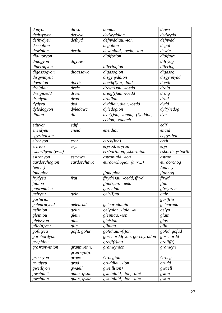| donyon                   | dawn         | doniau                                | dawn             |
|--------------------------|--------------|---------------------------------------|------------------|
| dedwytyon                | detwyd       | dedwyddion                            | dedwydd          |
| defnydyeu                | defnyd       | defnyddiau, -ion                      | defnydd          |
| deccolion                |              | degolion                              | degol            |
| dewinion                 | dewin        | dewiniaid, -oedd, -ion                | dewin            |
| dialuoryon               |              | dialforion                            | dialfawr         |
| diuogyon                 | difyawc      |                                       | diff(i)og        |
| diuerogyon               |              | diferiogion                           | diferiog         |
| digassogyon              | digassawc    | digasogion                            | digasog          |
| disgynnyeit              |              | disgynyddion                          | disgynnydd       |
| doethion                 | doeth        | $doeth(i)$ on, -iaid                  | doeth            |
| dreigiau                 | dreic        | $dreig(i)au$ , -ioedd                 | draig            |
| $\overline{d}$ reigioedd | dreic        | dreig(i)au, -ioedd                    | draig            |
| drudyon                  | drud         | drudion                               | drud             |
| dydyeu                   | dyd          | dyddiau, dieu, -oedd                  | dydd             |
| dyledogyon               | dyledawc     | dyledogion                            | $dyl(y)$ edog    |
| dinion                   | din          | $dyn(i)$ on, -ionau, - $(i)$ addon, - | $\frac{d}{\nu}$  |
|                          |              | eddon, -eddach                        |                  |
| etiuyon                  | edif         |                                       | edif             |
| eneidyeu                 | eneid        | eneidiau                              | enaid            |
| egyrtholyon              |              |                                       | engyrthol        |
| eirchyon                 | erch         | eirch(ion)                            | erch             |
| eririon                  | eryr         | eryrod, eryron                        | eryr             |
| esborthyon (ys)          |              | ersborthion, ysborthion               | esborth, ysborth |
| estronyon                | estrawn      | estroniaid, -ion                      | estron           |
| aurdorchogion            | eurdorchawc  | eurdorchogion (aur)                   | eurdorchog       |
| (eur)                    |              |                                       | (aur)            |
| fonogion                 |              | ffonogion                             | ffonnog          |
| frydyeu                  | frut         | ffryd(i)au, -oedd, ffryd              | ffrwd            |
| funiou                   |              | ffun(i)au, -oedd                      | ffun             |
| guorennieu               |              | goreniau                              | $g(w)$ oren      |
| geiryeu                  | geir         | geir(i)au                             | gair             |
| garhirion                |              |                                       | $gar(h)$ ir      |
| geleurutyeid             | geleurud     | geleuruddiaid                         | geleurudd        |
| gelinion                 | gelin        | gelynion, -iaid, -au                  | gelyn            |
| gleiniou                 | glein        | gleiniau, -ion                        | glain            |
| gleissyon                | glas         | gleision                              | glas             |
| glin(n)yeu               | glin         | gliniau                               | glin             |
| gofutyeu                 | gofit, gofut | gofidiau, -(i)on                      | gofid, gofud     |
| gorchordyon              |              | gorchordd(i)on, gorchyrddon           | gorchordd        |
| grephiou                 |              | $greiff(t)$ iau                       | graff(t)         |
| $g(a)$ ranwinion         | grannwenn,   | granwynion                            | granwyn          |
|                          | granwyn(n)   |                                       |                  |
| groecyon                 | groec        | Groegion                              | Groeg            |
| grudyeu                  | grud         | gruddiau, -ion                        | grudd            |
| gweillyon                | gwaell       | <i>gweill(ion)</i>                    | gwaell           |
| gweinieit                |              |                                       |                  |
|                          | guan, gwan   | gweiniaid, -ion, -aint                | gwan             |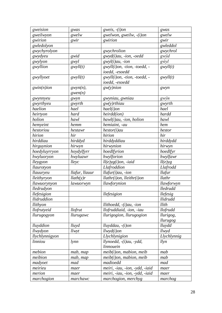| gweision       | gwas           | gweis, $-(i)$ on                 | gwas        |
|----------------|----------------|----------------------------------|-------------|
| gweilwyon      | gwelw          | gwelwon, gweilw, -(i)on          | gwelw       |
| gwirion        | gwir           | gwirion                          | gwir        |
| gwledolyon     |                |                                  | gwleddol    |
| gwychyrolyon   |                | gwychrolion                      | gwychrol    |
| gwydyeu        | gwid           | gwyd(i)au, -ion, -oedd           | gwŷd        |
| gwylyon        | gwyl           | $gwyl(i)au$ , -ion               | gŵyl        |
| gwyllion       | gwyll(t)       | $gwyll(i)$ on, -tion, -toedd, -  | gwyll(t)    |
|                |                | ioedd, -esoedd                   |             |
| gwyllyoet      | $g$ wyll $(t)$ | gwyll(i)on, -tion, -toedd, -     | gwyll(t)    |
|                |                | ioedd, -esoedd                   |             |
| $gwin(n)$ ion  | $gwyn(n)$ ,    | $g_{W(y)}$ nion                  | gwyn        |
|                | gwen(n)        |                                  |             |
| gwynnyeu       | gwyn           | gwyniau, gwniau                  | gwŷn        |
| gwyrthyeu      | gwyrth         | $g_{W(y)}$ rthiau                | gwyrth      |
| haelion        | hael           | $hael(i)$ on                     | hael        |
| heirtyon       | hard           | heirdd(ion)                      | hardd       |
| holion         | hawl           | $hawl(i)au$ , -ion, holion       | hawl        |
| hemyeint       | hemm           | hemiaint, -au                    | hem         |
| hestoriou      | hestawr        | $hestor(i)$ au                   | hestor      |
| hirion         | hir            | hirion                           | hir         |
| hirddiau       | hirddyd        | hirddyddiau                      | hirddydd    |
| hirguynion     | hirwyn         | hirwynion                        | hirwyn      |
| hoedyluyrryon  | hoydylfyrr     | hoedlfyrion                      | hoedlfyr    |
| hwyluoryon     | hwyluawr       | hwylforion                       | hwylfawr    |
| lleygyon       | lleyc          | $ll(e)yg(i)on, -iaid$            | $ll(e)$ yg  |
| llaurotyon     |                | Llafroddion                      | Llafrodd    |
| llauuryeu      | llafur, llauur | $llafur(i)au$ , -ion             | llafur      |
| lleithyryon    | llath(y)r      | $llathr(i)$ on, $llieithr(i)$ on | llathr      |
| llawuorynyon   | lawuorwyn      | llawforynion                     | llawforwyn  |
| lledrudyon     |                |                                  | lledrudd    |
| llefesigion    |                | llefesigion                      | llefesig    |
| llidruddion    |                |                                  | llidrudd    |
| llithyon       |                | llithoedd, $-(i)au$ , $-ion$     | llith       |
| llofrutyeid    | llofrut        | llofruddiaid, -ion, -iau         | llofrudd    |
| llurugogyon    | llurugawc      | llurigogion, llurugogion         | llurigog,   |
|                |                |                                  | llurugog    |
| lluyddion      | lluyd          | $lluvddau, -(i)on$               | lluydd      |
| llwydyon       | llwyt          | $llwyd(i)$ on                    | llwyd       |
| llychlynnigyon |                | Llychlynigion                    | Llychlynnig |
| linniou        | lynn           | llynoedd, -(i)au, -ydd,          | llyn        |
|                |                | linnouein                        |             |
| mebion         | mab, map       | $meib(i)$ on, mabion, meib       | mab         |
| meibion        | mab, map       | $meib(i)$ on, mabion, meib       | mab         |
| madyoet        | mad            | madioedd                         | mad         |
| meirieu        | maer           | meiri, -iau, -ion, -ydd, -iaid   | maer        |
| merion         | maer           | meiri, -iau, -ion, -ydd, -iaid   | maer        |
| marchogion     | marchawc       | marchogion, merchyg              | marchog     |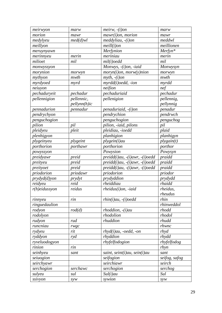| meirwyon         | marw                | $meirw, -(i)$ on                       | marw          |
|------------------|---------------------|----------------------------------------|---------------|
| morion           | mawr                | $mawr(i)$ on, morion                   | mawr          |
| medylyeu         | $med(d)$ wl         | $meddyliau, -(i)$ on                   | meddwl        |
| meillyon         |                     | $meill(i)$ on                          | meillionen    |
| meruynyawn       |                     | Merfynion                              | Merfyn*       |
| merinnyeu        | merin               | meriniau                               | merin         |
| milioet          | mil                 | mil(i) oedd                            | mil           |
| monwyssyon       |                     | Monwys, -(i)on, -iaid                  | Monwysyn      |
| morynion         | morwyn              | $moryn(i)$ on, $mory(y)$ nion          | morwyn        |
| mythyon          | mwth                | $myth, -(i)$ on                        | mwth          |
| myrdyoed         | myrd                | myrdd(i)oedd, -ion                     | myrdd         |
| neiuyon          |                     | neifion                                | nef           |
| pechaduryeit     | pechadur            | pechaduriaid                           | pechadur      |
| pellennigion     | pellennic,          | pellenigion                            | pellennig,    |
|                  | $p$ ellynn $(h)$ ic |                                        | pellynnig     |
| pennadurion      | pennadur            | penaduriaid, -(i)on                    | penadur       |
| pendrychyon      |                     | pendrychion                            | pendrwch      |
| penguchogion     |                     | penguchogion                           | penguchog     |
| pilion           | pil                 | pilion, -iaid, pilons                  | pil           |
| pleidyeu         | pleit               | pleidiau, -ioedd                       | plaid         |
| plenhigyon       |                     | planhigion                             | planhigyn     |
| plygeinyeu       | plygeint            | plygein(i)au                           | ply gain(t)   |
| porthorion       | porthawr            | porthorion                             | porthor       |
| powyssyon        |                     | Powysion                               | Powysyn       |
| preidyawr        | preid               | $predict)$ au, $-(i)$ awr, $-(i)$ oedd | praidd        |
| preityeu         | preid               | preidd(i)au, -(i)awr, -(i)oedd         | praidd        |
| preityoet        | preid               | preidd(i)au, -(i)awr, -(i)oedd         | praidd        |
| priodorion       | priodawr            | priodorion                             | priodor       |
| prydyd(d)yon     | prydyt              | prydyddion                             | prydydd       |
| reidyeu          | reid                | rheiddiau                              | rhaidd        |
| $r(h)$ eidussyon | reidus              | $rheidus(i)$ on, -iaid                 | rheidus,      |
|                  |                     |                                        | rheudus       |
| rinnyeu          | rin                 | $rhin(i)au, -(i)oedd$                  | rhin          |
| ringuedaulion    |                     |                                        | rhinweddol    |
| rodyon           | rod(d)              | $r hoddion, -(i) au$                   | rhodd         |
| rodolyon         |                     | rhodolion                              | rhodol        |
| rudyon           | rud                 | rhuddion                               | rhudd         |
| runcniau         | rwgc                |                                        | rhwnc         |
| rydyeu           | rit                 | $rhyd(i)au$ , -oedd, -on               | rhyd          |
| ryddyon          | ryd                 | rhyddion                               | rhydd         |
| ryveluodogyon    |                     | rhyfelfodogion                         | rhyfelfodog   |
| rinion           | rin                 |                                        | rhyn          |
| seinhyeu         | sant                | saint, seint $(i)$ au, sein $(i)$ au   | sant          |
| seiuogion        |                     | seifogion                              | seifog, safog |
| seirchyawr       |                     | seirchiawr                             | seirch        |
| serchogion       | serchawc            | serchogion                             | serchog       |
| sulyeu           | sul                 | Sul(i)au                               | Sul           |
| ssivyon          | syw                 | sywion                                 | syw           |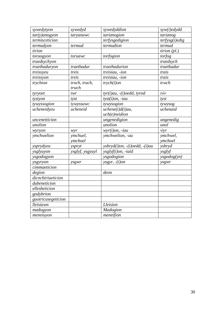| sywedytyon         | sywedyd                | sywedyddion                            | syw(i)edydd    |
|--------------------|------------------------|----------------------------------------|----------------|
| $tar(y)$ anogyon   | taryanawc              | tarianogion                            | tarianog       |
| termisceticion     |                        | terfysgedigion                         | terfysg(i)edig |
| termudyon          | termud                 | termudion                              | termud         |
| tirion             |                        |                                        | $tirion$ (pl.) |
| toruogyon          | toruawc                | torfogion                              | torfog         |
| traedsychyon       |                        |                                        | traedsych      |
| traethaduryon      | traethadur             | traethadurion                          | traethadur     |
| treissyeu          | treis                  | treisiau, -ion                         | trais          |
| treissyon          | treis                  | treisiau, -ion                         | trais          |
| trychion           | troch, truch,<br>trwch | $trych(i)$ on                          | trwch          |
| tyryoet            | twr                    | tyr(i)au, -(i)oedd, tyrod              | $t\hat{w}r$    |
| tystyon            | tyst                   | $tyst(i)$ on, -iau                     | tyst           |
| tywyssogion        | tywyssawc              | tywysogion                             | tywysog        |
| ucheneidyeu        | ucheneid               | $u$ chene $(i)$ d $(i)$ au,            | uchenaid       |
|                    |                        | $uch(e)$ neidion                       |                |
| uncenetticion      |                        | ungenedigion                           | ungenedig      |
| unolion            |                        | unolion                                | unol           |
| wyryon             | wyr                    | $wyr(i)$ on, -iau                      | $\hat{w}$      |
| ymchwelion         | ymchuel,               | ymchwelion, -au                        | ymchwel,       |
|                    | ymchoel                |                                        | ymchoel        |
| ysprydyeu          | yspryt                 | $ysbryd(i)$ on, $-(i)$ oedd, $-(i)$ au | ysbryd         |
| ysglyuyon          | ysglyf, ysgyuyl        | ysglyf(i)on, -iaid                     | ysglyf         |
| ysgodogyon         |                        | ysgodogion                             | ysgodog(yn)    |
| ysgyryon           | ysgwr                  | $ysgyr, -(i)$ on                       | ysgwr          |
| cimmaeticion       |                        |                                        |                |
| degion             |                        | deon                                   |                |
| dicnchiriueticion  |                        |                                        |                |
| dubeneticion       |                        |                                        |                |
| ellesheticion      |                        |                                        |                |
| godybrion          |                        |                                        |                |
| guotricusegeticion |                        |                                        |                |
| lleisiawn          |                        | Lleision                               |                |
| madogyon           |                        | Madogion                               |                |
| meneiuyon          |                        | meneifion                              |                |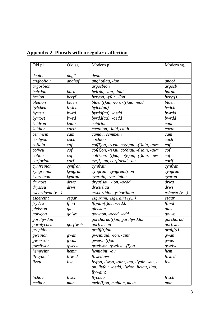| Old pl.          | Old sg.       | Modern pl.                                             | Modern sg.       |
|------------------|---------------|--------------------------------------------------------|------------------|
|                  |               |                                                        |                  |
| degion           | $dag^*$       | deon                                                   |                  |
| anghofiau        | anghof        | anghofiau, -ion                                        | angof            |
| argosbion        |               | argosbion                                              | argosb           |
| beirdon          | bard          | beirdd, -ion, -iaid                                    | bardd            |
| berion           | beryf         | beryon, -yfon, -ion                                    | bery(f)          |
| bleinon          | blaen         | $blaen(i)au$ , -ion, - $(i)aid$ , -edd                 | blaen            |
| bylcheu          | bwlch         | $b$ ylch $(au)$                                        | bwlch            |
| byrteu           | bwrd          | $byrdd(au)$ , -oedd                                    | bwrdd            |
| byrtoet          | bwrd          | $byrdd(au)$ , -oedd                                    | bwrdd            |
| keidron          | kadir         | ceidrion                                               | cadr             |
| keithon          | caeth         | caethion, -iaid, caith                                 | caeth            |
| cemmein          | cam           | camau, cemmein                                         | cam              |
| cochyon          | coch          | cochion                                                | coch             |
| cofiain          | cof           | $cof(i)$ on, $-(i)au$ , $co(e)au$ , $-(i)ain$ , $-awr$ | cof              |
| cofyeu           | $\cot$        | $cof(i)$ on, $-(i)au$ , $co(e)au$ , $-(i)ain$ , $-awr$ | $\hbox{\it cof}$ |
| cofion           | cof           | $cof(i)$ on, $-(i)au$ , $co(e)au$ , $-(i)ain$ , $-awr$ | $\cot$           |
| corforion        | $\text{conf}$ | cyrff, -au, corffoedd, -au                             | $\mathit{corff}$ |
| cynfreinon       | cynfran       | cynfrain                                               | $cyn$ fran       |
| kyngreinon       | kyngran       | cyngrain, cyngrein(i)on                                | cyngran          |
| kynreinon        | kynran        | cynrain, cynreinion                                    | cynran           |
| drygoet          | drwc          | $dryg(i)au$ , -ion, -oedd                              | $\frac{drw}{g}$  |
| drysseu          | drws          | $drws(i)$ au                                           | drws             |
| esborthyon $(y)$ |               | ersborthion, ysborthion                                | esborth $(y)$    |
| esgereint        | esgar         | esgarant, esgeraint $(y)$                              | esgar            |
| frydeu           | ffrwt         | $ffryd, -(i)au, -oedd,$                                | ffrwd            |
| gleisson         | glas          | gleision                                               | glas             |
| golygon          | golwc         | golygon, -oedd, -edd                                   | golwg            |
| gorchyrdon       |               | gorchordd(i)on, gorchyrddon                            | gorchordd        |
| gorulycheu       | gorflwch      | gorflychau                                             | gorflwch         |
| grephiou         |               | $greiff(t)$ iau                                        | graff(t)         |
| gweinon          | gwan          | gweiniaid, -ion, -aint                                 | gwan             |
| gweisson         | gwas          | gweis, $-(i)$ on                                       | gwas             |
| gweilwon         | gwelw         | gwelwon, gweilw, -(i)on                                | gwelw            |
| hemyeint         | hemm          | hemiaint, -au                                          | hem              |
| lliwydoet        | lliwed        | lliwedawr                                              | lliwed           |
| lleeu            | llw           | llyfon, llwon, -aint, -au, llyain, -au, -              | llw              |
|                  |               | on, llyfau, -oedd, llwfon, lleiau, llau,               |                  |
|                  |               | llywaint                                               |                  |
| lichou           | llwch         | llychau                                                | llwch            |
| meibon           | mab           | $meib(i)$ on, mabion, meib                             | mab              |

# **Appendix 2. Plurals with irregular** *i***-affection**